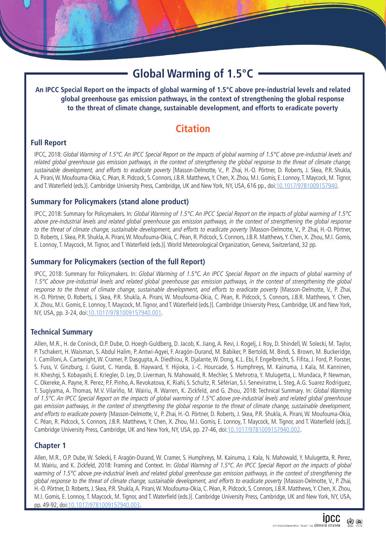# **Global Warming of 1.5°C**

**An IPCC Special Report on the impacts of global warming of 1.5°C above pre-industrial levels and related global greenhouse gas emission pathways, in the context of strengthening the global response to the threat of climate change, sustainable development, and efforts to eradicate poverty**

## **Citation**

## **Full Report**

IPCC, 2018: Global Warming of 1.5°C. An IPCC Special Report on the impacts of global warming of 1.5°C above pre-industrial levels and related global greenhouse gas emission pathways, in the context of strengthening the global response to the threat of climate change, sustainable development, and efforts to eradicate poverty [Masson-Delmotte, V., P. Zhai, H.-O. Pörtner, D. Roberts, J. Skea, P.R. Shukla, A. Pirani, W. Moufouma-Okia, C. Péan, R. Pidcock, S. Connors, J.B.R. Matthews, Y. Chen, X. Zhou, M.I. Gomis, E. Lonnoy, T. Maycock, M. Tignor, and T. Waterfield (eds.)]. Cambridge University Press, Cambridge, UK and New York, NY, USA, 616 pp., doi[:10.1017/9781009157940](https://doi.org/10.1017/9781009157940).

## **Summary for Policymakers (stand alone product)**

IPCC, 2018: Summary for Policymakers. In: Global Warming of 1.5°C. An IPCC Special Report on the impacts of global warming of 1.5°C above pre-industrial levels and related global greenhouse gas emission pathways, in the context of strengthening the global response to the threat of climate change, sustainable development, and efforts to eradicate poverty [Masson-Delmotte, V., P. Zhai, H.-O. Pörtner, D. Roberts, J. Skea, P.R. Shukla, A. Pirani, W. Moufouma-Okia, C. Péan, R. Pidcock, S. Connors, J.B.R. Matthews, Y. Chen, X. Zhou, M.I. Gomis, E. Lonnoy, T. Maycock, M. Tignor, and T. Waterfield (eds.)]. World Meteorological Organization, Geneva, Switzerland, 32 pp.

#### **Summary for Policymakers (section of the full Report)**

IPCC, 2018: Summary for Policymakers. In: Global Warming of 1.5°C. An IPCC Special Report on the impacts of global warming of 1.5°C above pre-industrial levels and related global greenhouse gas emission pathways, in the context of strengthening the global response to the threat of climate change, sustainable development, and efforts to eradicate poverty [Masson-Delmotte, V., P. Zhai, H.-O. Pörtner, D. Roberts, J. Skea, P.R. Shukla, A. Pirani, W. Moufouma-Okia, C. Péan, R. Pidcock, S. Connors, J.B.R. Matthews, Y. Chen, X. Zhou, M.I. Gomis, E. Lonnoy, T. Maycock, M. Tignor, and T. Waterfield (eds.)]. Cambridge University Press, Cambridge, UK and New York, NY, USA, pp. 3-24, doi:[10.1017/9781009157940.001.](https://doi.org/10.1017/9781009157940.001)

## **Technical Summary**

Allen, M.R., H. de Coninck, O.P. Dube, O. Hoegh-Guldberg, D. Jacob, K. Jiang, A. Revi, J. Rogelj, J. Roy, D. Shindell, W. Solecki, M. Taylor, P. Tschakert, H. Waisman, S. Abdul Halim, P. Antwi-Agyei, F. Aragón-Durand, M. Babiker, P. Bertoldi, M. Bindi, S. Brown, M. Buckeridge, I. Camilloni, A. Cartwright, W. Cramer, P. Dasgupta, A. Diedhiou, R. Djalante, W. Dong, K.L. Ebi, F. Engelbrecht, S. Fifita, J. Ford, P. Forster, S. Fuss, V. Ginzburg, J. Guiot, C. Handa, B. Hayward, Y. Hijioka, J.-C. Hourcade, S. Humphreys, M. Kainuma, J. Kala, M. Kanninen, H. Kheshgi, S. Kobayashi, E. Kriegler, D. Ley, D. Liverman, N. Mahowald, R. Mechler, S. Mehrotra, Y. Mulugetta, L. Mundaca, P. Newman, C. Okereke, A. Payne, R. Perez, P.F. Pinho, A. Revokatova, K. Riahi, S. Schultz, R. Séférian, S.I. Seneviratne, L. Steg, A.G. Suarez Rodriguez, T. Sugiyama, A. Thomas, M.V. Vilariño, M. Wairiu, R. Warren, K. Zickfeld, and G. Zhou, 2018: Technical Summary. In: Global Warming of 1.5°C. An IPCC Special Report on the impacts of global warming of 1.5°C above pre-industrial levels and related global greenhouse gas emission pathways, in the context of strengthening the global response to the threat of climate change, sustainable development, and efforts to eradicate poverty [Masson-Delmotte, V., P. Zhai, H.-O. Pörtner, D. Roberts, J. Skea, P.R. Shukla, A. Pirani, W. Moufouma-Okia, C. Péan, R. Pidcock, S. Connors, J.B.R. Matthews, Y. Chen, X. Zhou, M.I. Gomis, E. Lonnoy, T. Maycock, M. Tignor, and T. Waterfield (eds.)]. Cambridge University Press, Cambridge, UK and New York, NY, USA, pp. 27-46, doi[:10.1017/9781009157940.002.](https://doi.org/10.1017/9781009157940.002)

## **Chapter 1**

Allen, M.R., O.P. Dube, W. Solecki, F. Aragón-Durand, W. Cramer, S. Humphreys, M. Kainuma, J. Kala, N. Mahowald, Y. Mulugetta, R. Perez, M. Wairiu, and K. Zickfeld, 2018: Framing and Context. In: Global Warming of 1.5°C. An IPCC Special Report on the impacts of global warming of 1.5°C above pre-industrial levels and related global greenhouse gas emission pathways, in the context of strengthening the global response to the threat of climate change, sustainable development, and efforts to eradicate poverty [Masson-Delmotte, V., P. Zhai, H.-O. Pörtner, D. Roberts, J. Skea, P.R. Shukla, A. Pirani, W. Moufouma-Okia, C. Péan, R. Pidcock, S. Connors, J.B.R. Matthews, Y. Chen, X. Zhou, M.I. Gomis, E. Lonnoy, T. Maycock, M. Tignor, and T. Waterfield (eds.)]. Cambridge University Press, Cambridge, UK and New York, NY, USA, pp. 49-92, doi[:10.1017/9781009157940.003.](https://doi.org/10.1017/9781009157940.003)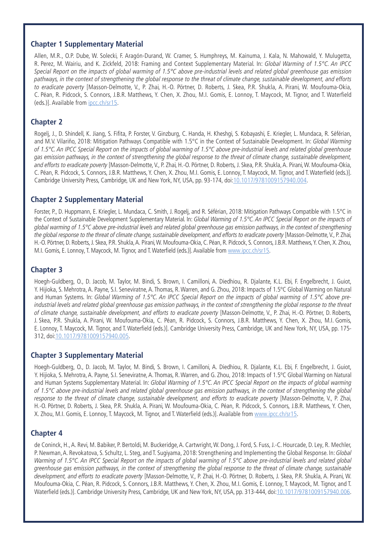#### **Chapter 1 Supplementary Material**

Allen, M.R., O.P. Dube, W. Solecki, F. Aragón-Durand, W. Cramer, S. Humphreys, M. Kainuma, J. Kala, N. Mahowald, Y. Mulugetta, R. Perez, M. Wairiu, and K. Zickfeld, 2018: Framing and Context Supplementary Material. In: Global Warming of 1.5°C. An IPCC Special Report on the impacts of global warming of 1.5°C above pre-industrial levels and related global greenhouse gas emission pathways, in the context of strengthening the global response to the threat of climate change, sustainable development, and efforts to eradicate poverty [Masson-Delmotte, V., P. Zhai, H.-O. Pörtner, D. Roberts, J. Skea, P.R. Shukla, A. Pirani, W. Moufouma-Okia, C. Péan, R. Pidcock, S. Connors, J.B.R. Matthews, Y. Chen, X. Zhou, M.I. Gomis, E. Lonnoy, T. Maycock, M. Tignor, and T. Waterfield (eds.)]. Available from [ipcc.ch/sr15.](https://www.ipcc.ch/sr15)

#### **Chapter 2**

Rogelj, J., D. Shindell, K. Jiang, S. Fifita, P. Forster, V. Ginzburg, C. Handa, H. Kheshgi, S. Kobayashi, E. Kriegler, L. Mundaca, R. Séférian, and M.V. Vilariño, 2018: Mitigation Pathways Compatible with 1.5°C in the Context of Sustainable Development. In: Global Warming of 1.5°C. An IPCC Special Report on the impacts of global warming of 1.5°C above pre-industrial levels and related global greenhouse gas emission pathways, in the context of strengthening the global response to the threat of climate change, sustainable development, and efforts to eradicate poverty [Masson-Delmotte, V., P. Zhai, H.-O. Pörtner, D. Roberts, J. Skea, P.R. Shukla, A. Pirani, W. Moufouma-Okia, C. Péan, R. Pidcock, S. Connors, J.B.R. Matthews, Y. Chen, X. Zhou, M.I. Gomis, E. Lonnoy, T. Maycock, M. Tignor, and T. Waterfield (eds.)]. Cambridge University Press, Cambridge, UK and New York, NY, USA, pp. 93-174, doi:[10.1017/9781009157940.004.](https://doi.org/10.1017/9781009157940.004)

## **Chapter 2 Supplementary Material**

Forster, P., D. Huppmann, E. Kriegler, L. Mundaca, C. Smith, J. Rogelj, and R. Séférian, 2018: Mitigation Pathways Compatible with 1.5°C in the Context of Sustainable Development Supplementary Material. In: Global Warming of 1.5°C. An IPCC Special Report on the impacts of global warming of 1.5°C above pre-industrial levels and related global greenhouse gas emission pathways, in the context of strengthening the global response to the threat of climate change, sustainable development, and efforts to eradicate poverty [Masson-Delmotte, V., P. Zhai, H.-O. Pörtner, D. Roberts, J. Skea, P.R. Shukla, A. Pirani, W. Moufouma-Okia, C. Péan, R. Pidcock, S. Connors, J.B.R. Matthews, Y. Chen, X. Zhou, M.I. Gomis, E. Lonnoy, T. Maycock, M. Tignor, and T. Waterfield (eds.)]. Available from [www.ipcc.ch/sr15](https://www.ipcc.ch/sr15).

## **Chapter 3**

Hoegh-Guldberg, O., D. Jacob, M. Taylor, M. Bindi, S. Brown, I. Camilloni, A. Diedhiou, R. Djalante, K.L. Ebi, F. Engelbrecht, J. Guiot, Y. Hijioka, S. Mehrotra, A. Payne, S.I. Seneviratne, A. Thomas, R. Warren, and G. Zhou, 2018: Impacts of 1.5ºC Global Warming on Natural and Human Systems. In: Global Warming of 1.5°C. An IPCC Special Report on the impacts of global warming of 1.5°C above preindustrial levels and related global greenhouse gas emission pathways, in the context of strengthening the global response to the threat of climate change, sustainable development, and efforts to eradicate poverty [Masson-Delmotte, V., P. Zhai, H.-O. Pörtner, D. Roberts, J. Skea, P.R. Shukla, A. Pirani, W. Moufouma-Okia, C. Péan, R. Pidcock, S. Connors, J.B.R. Matthews, Y. Chen, X. Zhou, M.I. Gomis, E. Lonnoy, T. Maycock, M. Tignor, and T. Waterfield (eds.)]. Cambridge University Press, Cambridge, UK and New York, NY, USA, pp. 175- 312, doi:[10.1017/9781009157940.005.](https://doi.org/10.1017/9781009157940.005)

## **Chapter 3 Supplementary Material**

Hoegh-Guldberg, O., D. Jacob, M. Taylor, M. Bindi, S. Brown, I. Camilloni, A. Diedhiou, R. Djalante, K.L. Ebi, F. Engelbrecht, J. Guiot, Y. Hijioka, S. Mehrotra, A. Payne, S.I. Seneviratne, A. Thomas, R. Warren, and G. Zhou, 2018: Impacts of 1.5ºC Global Warming on Natural and Human Systems Supplementary Material. In: Global Warming of 1.5°C. An IPCC Special Report on the impacts of global warming of 1.5°C above pre-industrial levels and related global greenhouse gas emission pathways, in the context of strengthening the global response to the threat of climate change, sustainable development, and efforts to eradicate poverty [Masson-Delmotte, V., P. Zhai, H.-O. Pörtner, D. Roberts, J. Skea, P.R. Shukla, A. Pirani, W. Moufouma-Okia, C. Péan, R. Pidcock, S. Connors, J.B.R. Matthews, Y. Chen, X. Zhou, M.I. Gomis, E. Lonnoy, T. Maycock, M. Tignor, and T. Waterfield (eds.)]. Available from [www.ipcc.ch/sr15.](https://www.ipcc.ch/sr15)

## **Chapter 4**

de Coninck, H., A. Revi, M. Babiker, P. Bertoldi, M. Buckeridge, A. Cartwright, W. Dong, J. Ford, S. Fuss, J.-C. Hourcade, D. Ley, R. Mechler, P. Newman, A. Revokatova, S. Schultz, L. Steg, and T. Sugiyama, 2018: Strengthening and Implementing the Global Response. In: Global Warming of 1.5°C. An IPCC Special Report on the impacts of global warming of 1.5°C above pre-industrial levels and related global greenhouse gas emission pathways, in the context of strengthening the global response to the threat of climate change, sustainable development, and efforts to eradicate poverty [Masson-Delmotte, V., P. Zhai, H.-O. Pörtner, D. Roberts, J. Skea, P.R. Shukla, A. Pirani, W. Moufouma-Okia, C. Péan, R. Pidcock, S. Connors, J.B.R. Matthews, Y. Chen, X. Zhou, M.I. Gomis, E. Lonnoy, T. Maycock, M. Tignor, and T. Waterfield (eds.)]. Cambridge University Press, Cambridge, UK and New York, NY, USA, pp. 313-444, doi:[10.1017/9781009157940.006.](https://doi.org/10.1017/9781009157940.006)